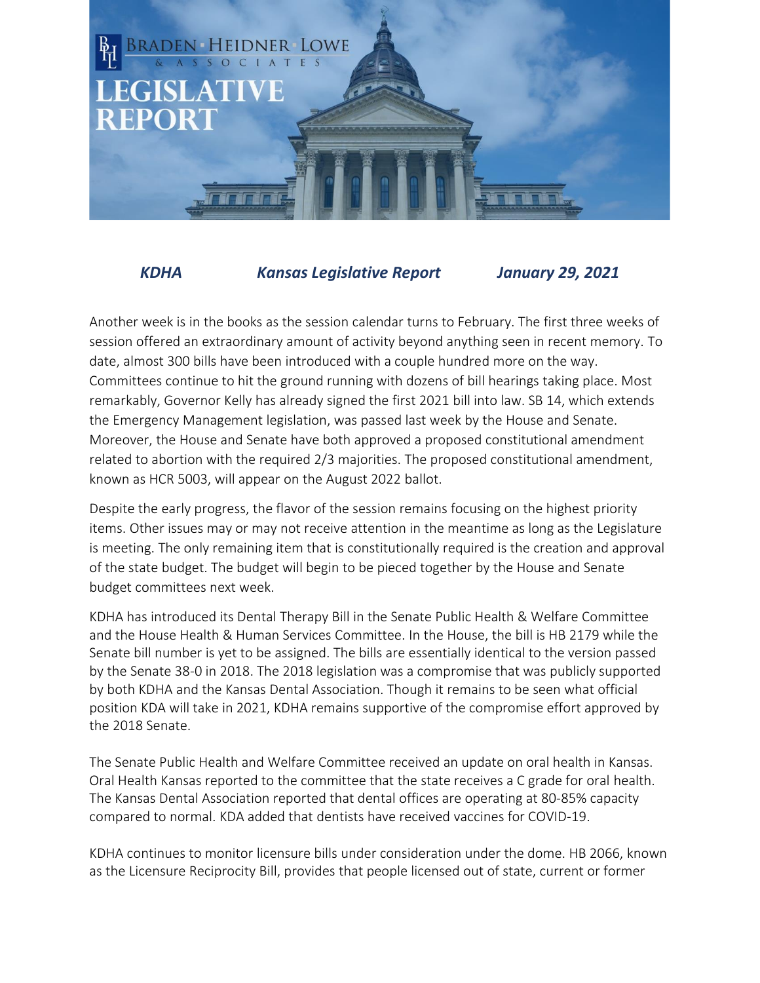

*KDHA Kansas Legislative Report January 29, 2021*

Another week is in the books as the session calendar turns to February. The first three weeks of session offered an extraordinary amount of activity beyond anything seen in recent memory. To date, almost 300 bills have been introduced with a couple hundred more on the way. Committees continue to hit the ground running with dozens of bill hearings taking place. Most remarkably, Governor Kelly has already signed the first 2021 bill into law. SB 14, which extends the Emergency Management legislation, was passed last week by the House and Senate. Moreover, the House and Senate have both approved a proposed constitutional amendment related to abortion with the required 2/3 majorities. The proposed constitutional amendment, known as HCR 5003, will appear on the August 2022 ballot.

Despite the early progress, the flavor of the session remains focusing on the highest priority items. Other issues may or may not receive attention in the meantime as long as the Legislature is meeting. The only remaining item that is constitutionally required is the creation and approval of the state budget. The budget will begin to be pieced together by the House and Senate budget committees next week.

KDHA has introduced its Dental Therapy Bill in the Senate Public Health & Welfare Committee and the House Health & Human Services Committee. In the House, the bill is HB 2179 while the Senate bill number is yet to be assigned. The bills are essentially identical to the version passed by the Senate 38-0 in 2018. The 2018 legislation was a compromise that was publicly supported by both KDHA and the Kansas Dental Association. Though it remains to be seen what official position KDA will take in 2021, KDHA remains supportive of the compromise effort approved by the 2018 Senate.

The Senate Public Health and Welfare Committee received an update on oral health in Kansas. Oral Health Kansas reported to the committee that the state receives a C grade for oral health. The Kansas Dental Association reported that dental offices are operating at 80-85% capacity compared to normal. KDA added that dentists have received vaccines for COVID-19.

KDHA continues to monitor licensure bills under consideration under the dome. HB 2066, known as the Licensure Reciprocity Bill, provides that people licensed out of state, current or former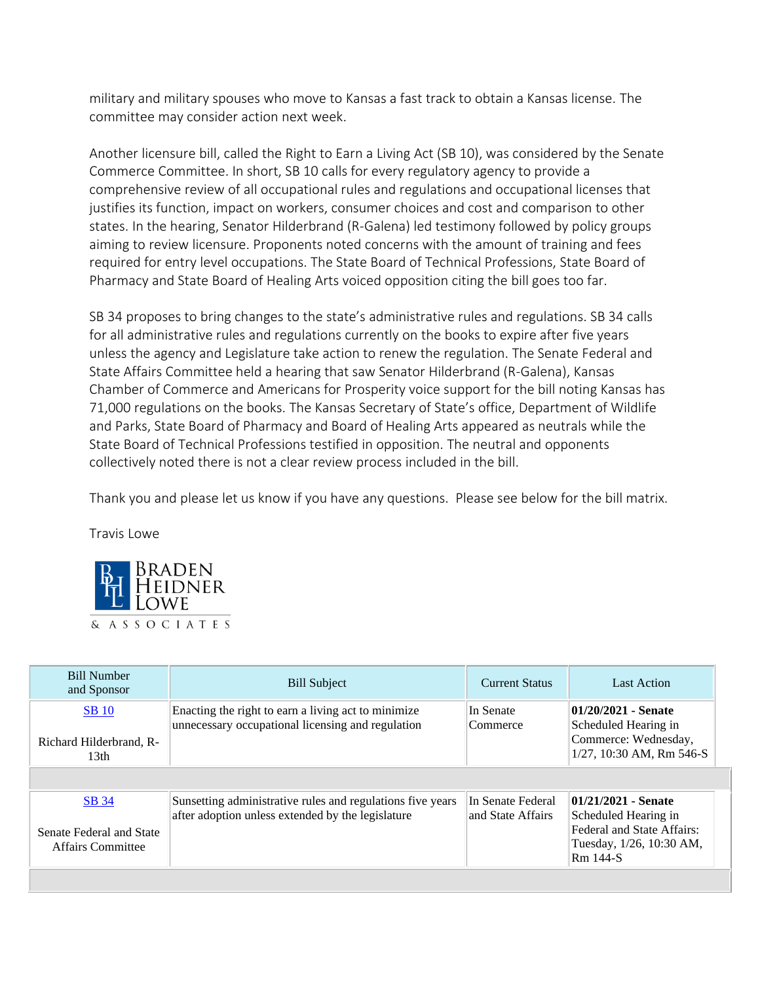military and military spouses who move to Kansas a fast track to obtain a Kansas license. The committee may consider action next week.

Another licensure bill, called the Right to Earn a Living Act (SB 10), was considered by the Senate Commerce Committee. In short, SB 10 calls for every regulatory agency to provide a comprehensive review of all occupational rules and regulations and occupational licenses that justifies its function, impact on workers, consumer choices and cost and comparison to other states. In the hearing, Senator Hilderbrand (R-Galena) led testimony followed by policy groups aiming to review licensure. Proponents noted concerns with the amount of training and fees required for entry level occupations. The State Board of Technical Professions, State Board of Pharmacy and State Board of Healing Arts voiced opposition citing the bill goes too far.

SB 34 proposes to bring changes to the state's administrative rules and regulations. SB 34 calls for all administrative rules and regulations currently on the books to expire after five years unless the agency and Legislature take action to renew the regulation. The Senate Federal and State Affairs Committee held a hearing that saw Senator Hilderbrand (R-Galena), Kansas Chamber of Commerce and Americans for Prosperity voice support for the bill noting Kansas has 71,000 regulations on the books. The Kansas Secretary of State's office, Department of Wildlife and Parks, State Board of Pharmacy and Board of Healing Arts appeared as neutrals while the State Board of Technical Professions testified in opposition. The neutral and opponents collectively noted there is not a clear review process included in the bill.

Thank you and please let us know if you have any questions. Please see below for the bill matrix.

Travis Lowe



| <b>Bill Number</b><br>and Sponsor       | <b>Bill Subject</b>                                                                                             | <b>Current Status</b>                  | <b>Last Action</b>                                                  |
|-----------------------------------------|-----------------------------------------------------------------------------------------------------------------|----------------------------------------|---------------------------------------------------------------------|
| <b>SB</b> 10<br>Richard Hilderbrand, R- | Enacting the right to earn a living act to minimize<br>unnecessary occupational licensing and regulation        | In Senate<br>Commerce                  | 01/20/2021 - Senate<br>Scheduled Hearing in<br>Commerce: Wednesday, |
| 13th                                    |                                                                                                                 |                                        | 1/27, 10:30 AM, Rm 546-S                                            |
|                                         |                                                                                                                 |                                        |                                                                     |
| <b>SB</b> 34                            | Sunsetting administrative rules and regulations five years<br>after adoption unless extended by the legislature | In Senate Federal<br>and State Affairs | 01/21/2021 - Senate<br>Scheduled Hearing in                         |
| Senate Federal and State                |                                                                                                                 |                                        | Federal and State Affairs:                                          |
| Affairs Committee                       |                                                                                                                 |                                        | Tuesday, 1/26, 10:30 AM,<br>Rm 144-S                                |
|                                         |                                                                                                                 |                                        |                                                                     |